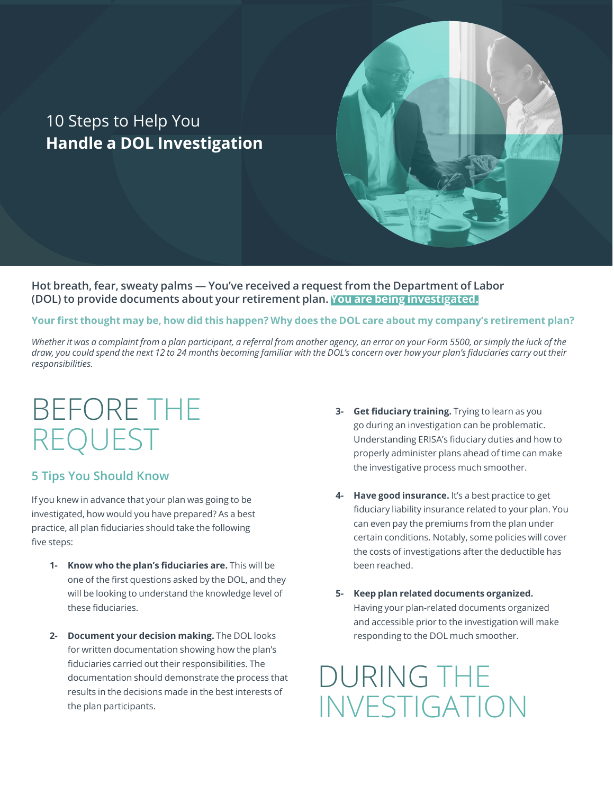### 10 Steps to Help You **Handle a DOL Investigation**

**Hot breath, fear, sweaty palms — You've received a request from the Department of Labor (DOL) to provide documents about your retirement plan. You are being investigated.**

**Your first thought may be, how did this happen? Why does the DOL care about my company's retirement plan?** 

*Whether it was a complaint from a plan participant, a referral from another agency, an error on your Form 5500, or simply the luck of the draw, you could spend the next 12 to 24 months becoming familiar with the DOL's concern over how your plan's fiduciaries carry out their responsibilities.* 

# BEFORE THE REQUEST

#### **5 Tips You Should Know**

If you knew in advance that your plan was going to be investigated, how would you have prepared? As a best practice, all plan fiduciaries should take the following five steps:

- **1- Know who the plan's fiduciaries are.** This will be one of the first questions asked by the DOL, and they will be looking to understand the knowledge level of these fiduciaries.
- **2- Document your decision making.** The DOL looks for written documentation showing how the plan's fiduciaries carried out their responsibilities. The documentation should demonstrate the process that results in the decisions made in the best interests of the plan participants.
- **3- Get fiduciary training.** Trying to learn as you go during an investigation can be problematic. Understanding ERISA's fiduciary duties and how to properly administer plans ahead of time can make the investigative process much smoother.
- **4- Have good insurance.** It's a best practice to get fiduciary liability insurance related to your plan. You can even pay the premiums from the plan under certain conditions. Notably, some policies will cover the costs of investigations after the deductible has been reached.
- **5- Keep plan related documents organized.** Having your plan-related documents organized and accessible prior to the investigation will make responding to the DOL much smoother.

## DURING THE INVESTIGATION